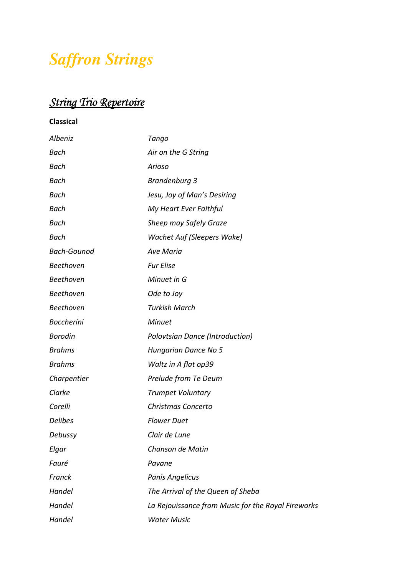## *Saffron Strings*

## *String Trio Repertoire*

**Classical** 

| <b>Albeniz</b>     | Tango                                              |
|--------------------|----------------------------------------------------|
| <b>Bach</b>        | Air on the G String                                |
| Bach               | Arioso                                             |
| Bach               | Brandenburg 3                                      |
| <b>Bach</b>        | Jesu, Joy of Man's Desiring                        |
| Bach               | My Heart Ever Faithful                             |
| Bach               | Sheep may Safely Graze                             |
| <b>Bach</b>        | Wachet Auf (Sleepers Wake)                         |
| <b>Bach-Gounod</b> | <b>Ave Maria</b>                                   |
| <b>Beethoven</b>   | <b>Fur Elise</b>                                   |
| Beethoven          | Minuet in G                                        |
| Beethoven          | Ode to Joy                                         |
| <b>Beethoven</b>   | <b>Turkish March</b>                               |
| <b>Boccherini</b>  | <b>Minuet</b>                                      |
| <b>Borodin</b>     | Polovtsian Dance (Introduction)                    |
| <b>Brahms</b>      | Hungarian Dance No 5                               |
| <b>Brahms</b>      | Waltz in A flat op39                               |
| Charpentier        | Prelude from Te Deum                               |
| Clarke             | <b>Trumpet Voluntary</b>                           |
| Corelli            | Christmas Concerto                                 |
| <b>Delibes</b>     | <b>Flower Duet</b>                                 |
| Debussy            | Clair de Lune                                      |
| Elgar              | Chanson de Matin                                   |
| Fauré              | Pavane                                             |
| Franck             | <b>Panis Angelicus</b>                             |
| Handel             | The Arrival of the Queen of Sheba                  |
| Handel             | La Rejouissance from Music for the Royal Fireworks |
| Handel             | <b>Water Music</b>                                 |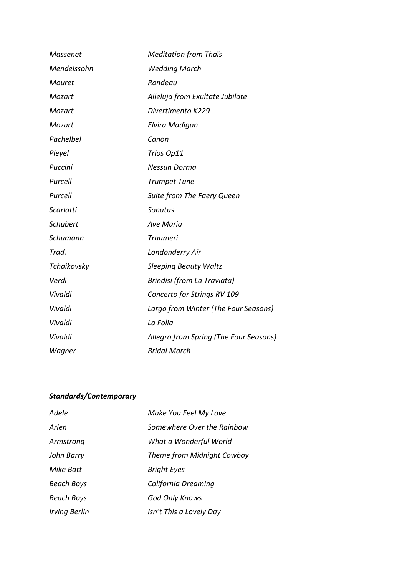| <b>Massenet</b>  | <b>Meditation from Thaïs</b>           |
|------------------|----------------------------------------|
| Mendelssohn      | <b>Wedding March</b>                   |
| <b>Mouret</b>    | Rondeau                                |
| Mozart           | Alleluja from Exultate Jubilate        |
| Mozart           | Divertimento K229                      |
| Mozart           | Elvira Madigan                         |
| Pachelbel        | Canon                                  |
| Pleyel           | Trios Op11                             |
| Puccini          | Nessun Dorma                           |
| Purcell          | <b>Trumpet Tune</b>                    |
| Purcell          | Suite from The Faery Queen             |
| <b>Scarlatti</b> | Sonatas                                |
| <b>Schubert</b>  | <b>Ave Maria</b>                       |
| Schumann         | <b>Traumeri</b>                        |
| Trad.            | Londonderry Air                        |
| Tchaikovsky      | <b>Sleeping Beauty Waltz</b>           |
| Verdi            | Brindisi (from La Traviata)            |
| Vivaldi          | Concerto for Strings RV 109            |
| Vivaldi          | Largo from Winter (The Four Seasons)   |
| Vivaldi          | La Folia                               |
| Vivaldi          | Allegro from Spring (The Four Seasons) |
| Wagner           | <b>Bridal March</b>                    |

## *Standards/Contemporary*

| Adele                | Make You Feel My Love      |
|----------------------|----------------------------|
| Arlen                | Somewhere Over the Rainbow |
| Armstrong            | What a Wonderful World     |
| John Barry           | Theme from Midnight Cowboy |
| Mike Batt            | <b>Bright Eyes</b>         |
| <b>Beach Boys</b>    | California Dreaming        |
| <b>Beach Boys</b>    | <b>God Only Knows</b>      |
| <i>Irving Berlin</i> | Isn't This a Lovely Day    |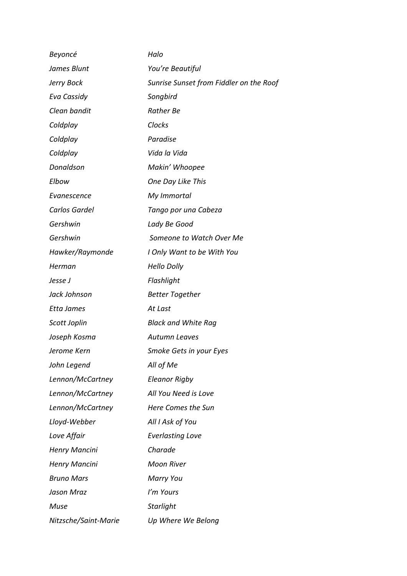| Beyoncé              | Halo                                    |
|----------------------|-----------------------------------------|
| James Blunt          | You're Beautiful                        |
| Jerry Bock           | Sunrise Sunset from Fiddler on the Roof |
| Eva Cassidy          | Songbird                                |
| Clean bandit         | Rather Be                               |
| Coldplay             | Clocks                                  |
| Coldplay             | Paradise                                |
| Coldplay             | Vida la Vida                            |
| Donaldson            | Makin' Whoopee                          |
| Elbow                | One Day Like This                       |
| Evanescence          | My Immortal                             |
| Carlos Gardel        | Tango por una Cabeza                    |
| Gershwin             | Lady Be Good                            |
| Gershwin             | Someone to Watch Over Me                |
| Hawker/Raymonde      | I Only Want to be With You              |
| Herman               | <b>Hello Dolly</b>                      |
| Jesse J              | Flashlight                              |
| Jack Johnson         | <b>Better Together</b>                  |
| Etta James           | At Last                                 |
| Scott Joplin         | <b>Black and White Rag</b>              |
| Joseph Kosma         | <b>Autumn Leaves</b>                    |
| Jerome Kern          | Smoke Gets in your Eyes                 |
| John Legend          | All of Me                               |
| Lennon/McCartney     | <b>Eleanor Rigby</b>                    |
| Lennon/McCartney     | All You Need is Love                    |
| Lennon/McCartney     | Here Comes the Sun                      |
| Lloyd-Webber         | All I Ask of You                        |
| Love Affair          | <b>Everlasting Love</b>                 |
| Henry Mancini        | Charade                                 |
| Henry Mancini        | <b>Moon River</b>                       |
| <b>Bruno Mars</b>    | <b>Marry You</b>                        |
| Jason Mraz           | I'm Yours                               |
| Muse                 | <b>Starlight</b>                        |
| Nitzsche/Saint-Marie | Up Where We Belong                      |